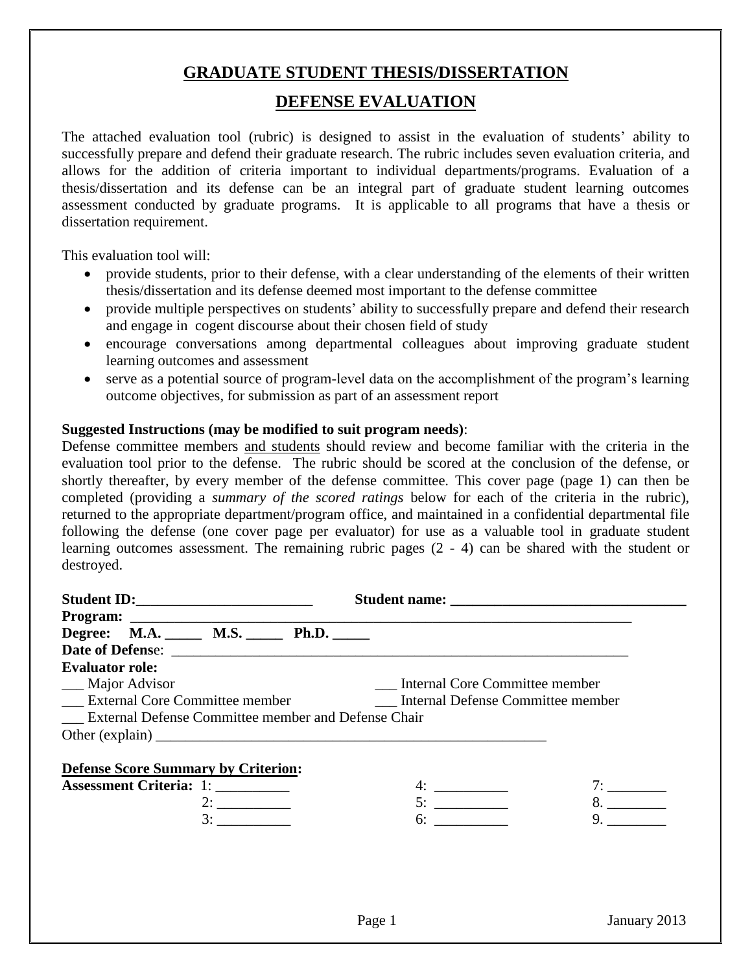## **GRADUATE STUDENT THESIS/DISSERTATION**

## **DEFENSE EVALUATION**

The attached evaluation tool (rubric) is designed to assist in the evaluation of students' ability to successfully prepare and defend their graduate research. The rubric includes seven evaluation criteria, and allows for the addition of criteria important to individual departments/programs. Evaluation of a thesis/dissertation and its defense can be an integral part of graduate student learning outcomes assessment conducted by graduate programs. It is applicable to all programs that have a thesis or dissertation requirement.

This evaluation tool will:

- provide students, prior to their defense, with a clear understanding of the elements of their written thesis/dissertation and its defense deemed most important to the defense committee
- provide multiple perspectives on students' ability to successfully prepare and defend their research and engage in cogent discourse about their chosen field of study
- encourage conversations among departmental colleagues about improving graduate student learning outcomes and assessment
- serve as a potential source of program-level data on the accomplishment of the program's learning outcome objectives, for submission as part of an assessment report

## **Suggested Instructions (may be modified to suit program needs)**:

Defense committee members and students should review and become familiar with the criteria in the evaluation tool prior to the defense. The rubric should be scored at the conclusion of the defense, or shortly thereafter, by every member of the defense committee. This cover page (page 1) can then be completed (providing a *summary of the scored ratings* below for each of the criteria in the rubric), returned to the appropriate department/program office, and maintained in a confidential departmental file following the defense (one cover page per evaluator) for use as a valuable tool in graduate student learning outcomes assessment. The remaining rubric pages (2 - 4) can be shared with the student or destroyed.

| Degree: M.A. _____ M.S. _____ Ph.D. _____                  |                                |    |  |  |
|------------------------------------------------------------|--------------------------------|----|--|--|
|                                                            |                                |    |  |  |
| <b>Evaluator role:</b>                                     |                                |    |  |  |
| ___ Major Advisor                                          | Internal Core Committee member |    |  |  |
|                                                            |                                |    |  |  |
| <b>External Defense Committee member and Defense Chair</b> |                                |    |  |  |
|                                                            |                                |    |  |  |
|                                                            |                                |    |  |  |
| <b>Defense Score Summary by Criterion:</b>                 |                                |    |  |  |
| <b>Assessment Criteria: 1:</b>                             |                                |    |  |  |
| 2:                                                         | 5:                             | 8. |  |  |
|                                                            | 6:                             | 9. |  |  |
|                                                            |                                |    |  |  |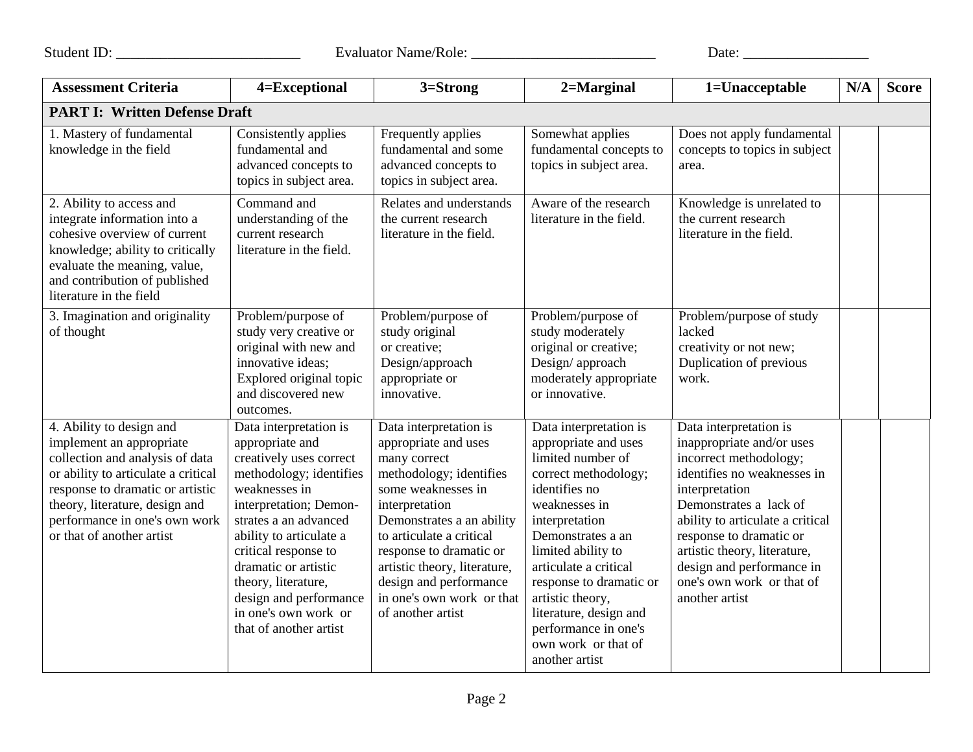Student ID: \_\_\_\_\_\_\_\_\_\_\_\_\_\_\_\_\_\_\_\_\_\_\_\_\_ Evaluator Name/Role: \_\_\_\_\_\_\_\_\_\_\_\_\_\_\_\_\_\_\_\_\_\_\_\_\_ Date: \_\_\_\_\_\_\_\_\_\_\_\_\_\_\_\_\_

| <b>Assessment Criteria</b>                                                                                                                                                                                                                                         | 4=Exceptional                                                                                                                                                                                                                                                                                                                                     | 3=Strong                                                                                                                                                                                                                                                                                                                          | 2=Marginal                                                                                                                                                                                                                                                                                                                                                    | 1=Unacceptable                                                                                                                                                                                                                                                                                                                      | N/A | <b>Score</b> |  |
|--------------------------------------------------------------------------------------------------------------------------------------------------------------------------------------------------------------------------------------------------------------------|---------------------------------------------------------------------------------------------------------------------------------------------------------------------------------------------------------------------------------------------------------------------------------------------------------------------------------------------------|-----------------------------------------------------------------------------------------------------------------------------------------------------------------------------------------------------------------------------------------------------------------------------------------------------------------------------------|---------------------------------------------------------------------------------------------------------------------------------------------------------------------------------------------------------------------------------------------------------------------------------------------------------------------------------------------------------------|-------------------------------------------------------------------------------------------------------------------------------------------------------------------------------------------------------------------------------------------------------------------------------------------------------------------------------------|-----|--------------|--|
| <b>PART I: Written Defense Draft</b>                                                                                                                                                                                                                               |                                                                                                                                                                                                                                                                                                                                                   |                                                                                                                                                                                                                                                                                                                                   |                                                                                                                                                                                                                                                                                                                                                               |                                                                                                                                                                                                                                                                                                                                     |     |              |  |
| 1. Mastery of fundamental<br>knowledge in the field                                                                                                                                                                                                                | Consistently applies<br>fundamental and<br>advanced concepts to<br>topics in subject area.                                                                                                                                                                                                                                                        | Frequently applies<br>fundamental and some<br>advanced concepts to<br>topics in subject area.                                                                                                                                                                                                                                     | Somewhat applies<br>fundamental concepts to<br>topics in subject area.                                                                                                                                                                                                                                                                                        | Does not apply fundamental<br>concepts to topics in subject<br>area.                                                                                                                                                                                                                                                                |     |              |  |
| 2. Ability to access and<br>integrate information into a<br>cohesive overview of current<br>knowledge; ability to critically<br>evaluate the meaning, value,<br>and contribution of published<br>literature in the field                                           | Command and<br>understanding of the<br>current research<br>literature in the field.                                                                                                                                                                                                                                                               | Relates and understands<br>the current research<br>literature in the field.                                                                                                                                                                                                                                                       | Aware of the research<br>literature in the field.                                                                                                                                                                                                                                                                                                             | Knowledge is unrelated to<br>the current research<br>literature in the field.                                                                                                                                                                                                                                                       |     |              |  |
| 3. Imagination and originality<br>of thought                                                                                                                                                                                                                       | Problem/purpose of<br>study very creative or<br>original with new and<br>innovative ideas:<br>Explored original topic<br>and discovered new<br>outcomes.                                                                                                                                                                                          | Problem/purpose of<br>study original<br>or creative;<br>Design/approach<br>appropriate or<br>innovative.                                                                                                                                                                                                                          | Problem/purpose of<br>study moderately<br>original or creative;<br>Design/approach<br>moderately appropriate<br>or innovative.                                                                                                                                                                                                                                | Problem/purpose of study<br>lacked<br>creativity or not new;<br>Duplication of previous<br>work.                                                                                                                                                                                                                                    |     |              |  |
| 4. Ability to design and<br>implement an appropriate<br>collection and analysis of data<br>or ability to articulate a critical<br>response to dramatic or artistic<br>theory, literature, design and<br>performance in one's own work<br>or that of another artist | Data interpretation is<br>appropriate and<br>creatively uses correct<br>methodology; identifies<br>weaknesses in<br>interpretation; Demon-<br>strates a an advanced<br>ability to articulate a<br>critical response to<br>dramatic or artistic<br>theory, literature,<br>design and performance<br>in one's own work or<br>that of another artist | Data interpretation is<br>appropriate and uses<br>many correct<br>methodology; identifies<br>some weaknesses in<br>interpretation<br>Demonstrates a an ability<br>to articulate a critical<br>response to dramatic or<br>artistic theory, literature,<br>design and performance<br>in one's own work or that<br>of another artist | Data interpretation is<br>appropriate and uses<br>limited number of<br>correct methodology;<br>identifies no<br>weaknesses in<br>interpretation<br>Demonstrates a an<br>limited ability to<br>articulate a critical<br>response to dramatic or<br>artistic theory,<br>literature, design and<br>performance in one's<br>own work or that of<br>another artist | Data interpretation is<br>inappropriate and/or uses<br>incorrect methodology;<br>identifies no weaknesses in<br>interpretation<br>Demonstrates a lack of<br>ability to articulate a critical<br>response to dramatic or<br>artistic theory, literature,<br>design and performance in<br>one's own work or that of<br>another artist |     |              |  |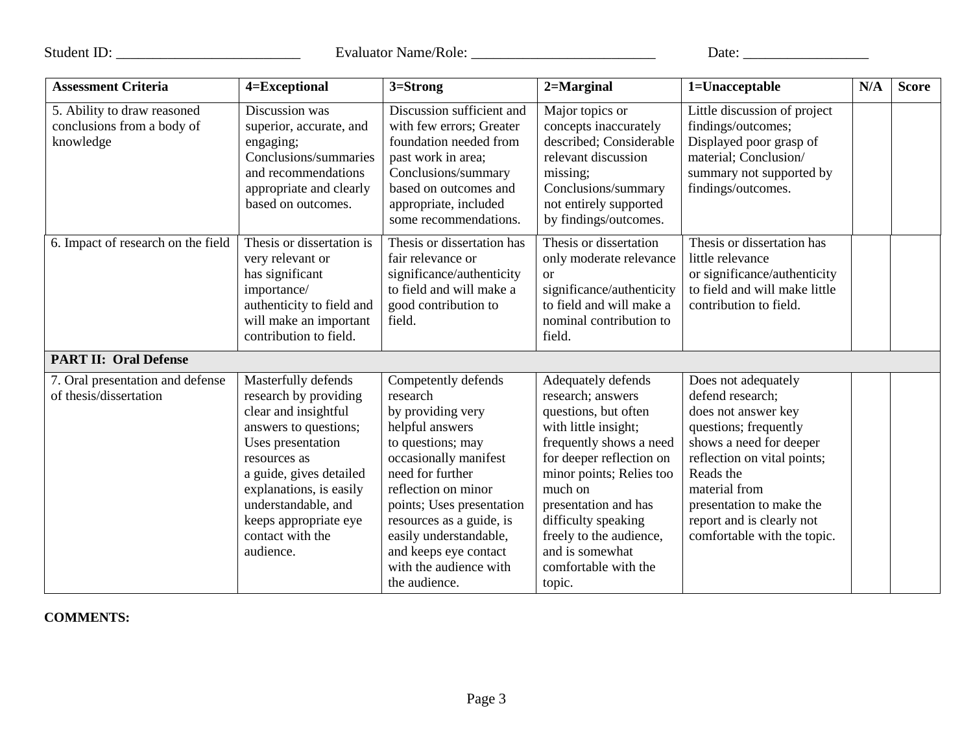Student ID: \_\_\_\_\_\_\_\_\_\_\_\_\_\_\_\_\_\_\_\_\_\_\_\_\_ Evaluator Name/Role: \_\_\_\_\_\_\_\_\_\_\_\_\_\_\_\_\_\_\_\_\_\_\_\_\_ Date: \_\_\_\_\_\_\_\_\_\_\_\_\_\_\_\_\_

| <b>Assessment Criteria</b>                                             | 4=Exceptional                                                                                                                                                                                                                                                             | 3=Strong                                                                                                                                                                                                                                                                                                                | $2 =$ Marginal                                                                                                                                                                                                                                                                                                       | 1=Unacceptable                                                                                                                                                                                                                                                          | N/A | <b>Score</b> |
|------------------------------------------------------------------------|---------------------------------------------------------------------------------------------------------------------------------------------------------------------------------------------------------------------------------------------------------------------------|-------------------------------------------------------------------------------------------------------------------------------------------------------------------------------------------------------------------------------------------------------------------------------------------------------------------------|----------------------------------------------------------------------------------------------------------------------------------------------------------------------------------------------------------------------------------------------------------------------------------------------------------------------|-------------------------------------------------------------------------------------------------------------------------------------------------------------------------------------------------------------------------------------------------------------------------|-----|--------------|
| 5. Ability to draw reasoned<br>conclusions from a body of<br>knowledge | Discussion was<br>superior, accurate, and<br>engaging;<br>Conclusions/summaries<br>and recommendations<br>appropriate and clearly<br>based on outcomes.                                                                                                                   | Discussion sufficient and<br>with few errors; Greater<br>foundation needed from<br>past work in area;<br>Conclusions/summary<br>based on outcomes and<br>appropriate, included<br>some recommendations.                                                                                                                 | Major topics or<br>concepts inaccurately<br>described; Considerable<br>relevant discussion<br>missing;<br>Conclusions/summary<br>not entirely supported<br>by findings/outcomes.                                                                                                                                     | Little discussion of project<br>findings/outcomes;<br>Displayed poor grasp of<br>material; Conclusion/<br>summary not supported by<br>findings/outcomes.                                                                                                                |     |              |
| 6. Impact of research on the field                                     | Thesis or dissertation is<br>very relevant or<br>has significant<br>importance/<br>authenticity to field and<br>will make an important<br>contribution to field.                                                                                                          | Thesis or dissertation has<br>fair relevance or<br>significance/authenticity<br>to field and will make a<br>good contribution to<br>field.                                                                                                                                                                              | Thesis or dissertation<br>only moderate relevance<br><b>or</b><br>significance/authenticity<br>to field and will make a<br>nominal contribution to<br>field.                                                                                                                                                         | Thesis or dissertation has<br>little relevance<br>or significance/authenticity<br>to field and will make little<br>contribution to field.                                                                                                                               |     |              |
| <b>PART II: Oral Defense</b>                                           |                                                                                                                                                                                                                                                                           |                                                                                                                                                                                                                                                                                                                         |                                                                                                                                                                                                                                                                                                                      |                                                                                                                                                                                                                                                                         |     |              |
| 7. Oral presentation and defense<br>of thesis/dissertation             | Masterfully defends<br>research by providing<br>clear and insightful<br>answers to questions;<br>Uses presentation<br>resources as<br>a guide, gives detailed<br>explanations, is easily<br>understandable, and<br>keeps appropriate eye<br>contact with the<br>audience. | Competently defends<br>research<br>by providing very<br>helpful answers<br>to questions; may<br>occasionally manifest<br>need for further<br>reflection on minor<br>points; Uses presentation<br>resources as a guide, is<br>easily understandable,<br>and keeps eye contact<br>with the audience with<br>the audience. | Adequately defends<br>research; answers<br>questions, but often<br>with little insight;<br>frequently shows a need<br>for deeper reflection on<br>minor points; Relies too<br>much on<br>presentation and has<br>difficulty speaking<br>freely to the audience,<br>and is somewhat<br>comfortable with the<br>topic. | Does not adequately<br>defend research;<br>does not answer key<br>questions; frequently<br>shows a need for deeper<br>reflection on vital points;<br>Reads the<br>material from<br>presentation to make the<br>report and is clearly not<br>comfortable with the topic. |     |              |

**COMMENTS:**